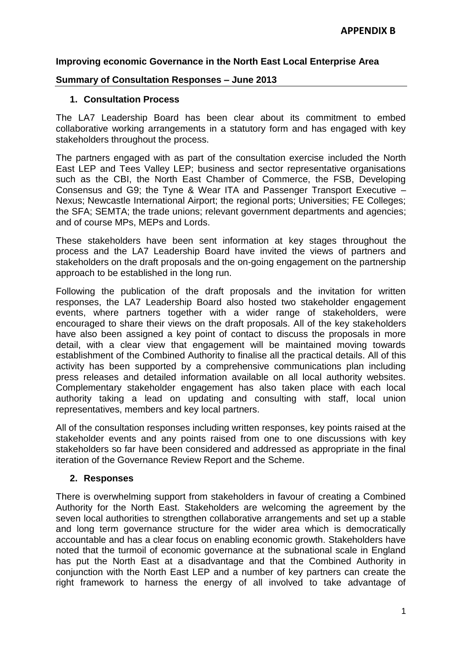### **Improving economic Governance in the North East Local Enterprise Area**

#### **Summary of Consultation Responses – June 2013**

#### **1. Consultation Process**

The LA7 Leadership Board has been clear about its commitment to embed collaborative working arrangements in a statutory form and has engaged with key stakeholders throughout the process.

The partners engaged with as part of the consultation exercise included the North East LEP and Tees Valley LEP; business and sector representative organisations such as the CBI, the North East Chamber of Commerce, the FSB, Developing Consensus and G9; the Tyne & Wear ITA and Passenger Transport Executive – Nexus; Newcastle International Airport; the regional ports; Universities; FE Colleges; the SFA; SEMTA; the trade unions; relevant government departments and agencies; and of course MPs, MEPs and Lords.

These stakeholders have been sent information at key stages throughout the process and the LA7 Leadership Board have invited the views of partners and stakeholders on the draft proposals and the on-going engagement on the partnership approach to be established in the long run.

Following the publication of the draft proposals and the invitation for written responses, the LA7 Leadership Board also hosted two stakeholder engagement events, where partners together with a wider range of stakeholders, were encouraged to share their views on the draft proposals. All of the key stakeholders have also been assigned a key point of contact to discuss the proposals in more detail, with a clear view that engagement will be maintained moving towards establishment of the Combined Authority to finalise all the practical details. All of this activity has been supported by a comprehensive communications plan including press releases and detailed information available on all local authority websites. Complementary stakeholder engagement has also taken place with each local authority taking a lead on updating and consulting with staff, local union representatives, members and key local partners.

All of the consultation responses including written responses, key points raised at the stakeholder events and any points raised from one to one discussions with key stakeholders so far have been considered and addressed as appropriate in the final iteration of the Governance Review Report and the Scheme.

### **2. Responses**

There is overwhelming support from stakeholders in favour of creating a Combined Authority for the North East. Stakeholders are welcoming the agreement by the seven local authorities to strengthen collaborative arrangements and set up a stable and long term governance structure for the wider area which is democratically accountable and has a clear focus on enabling economic growth. Stakeholders have noted that the turmoil of economic governance at the subnational scale in England has put the North East at a disadvantage and that the Combined Authority in conjunction with the North East LEP and a number of key partners can create the right framework to harness the energy of all involved to take advantage of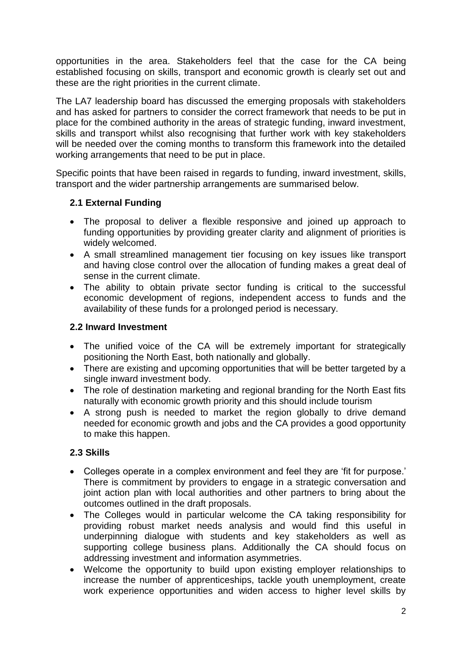opportunities in the area. Stakeholders feel that the case for the CA being established focusing on skills, transport and economic growth is clearly set out and these are the right priorities in the current climate.

The LA7 leadership board has discussed the emerging proposals with stakeholders and has asked for partners to consider the correct framework that needs to be put in place for the combined authority in the areas of strategic funding, inward investment, skills and transport whilst also recognising that further work with key stakeholders will be needed over the coming months to transform this framework into the detailed working arrangements that need to be put in place.

Specific points that have been raised in regards to funding, inward investment, skills, transport and the wider partnership arrangements are summarised below.

## **2.1 External Funding**

- The proposal to deliver a flexible responsive and joined up approach to funding opportunities by providing greater clarity and alignment of priorities is widely welcomed.
- A small streamlined management tier focusing on key issues like transport and having close control over the allocation of funding makes a great deal of sense in the current climate.
- The ability to obtain private sector funding is critical to the successful economic development of regions, independent access to funds and the availability of these funds for a prolonged period is necessary.

### **2.2 Inward Investment**

- The unified voice of the CA will be extremely important for strategically positioning the North East, both nationally and globally.
- There are existing and upcoming opportunities that will be better targeted by a single inward investment body.
- The role of destination marketing and regional branding for the North East fits naturally with economic growth priority and this should include tourism
- A strong push is needed to market the region globally to drive demand needed for economic growth and jobs and the CA provides a good opportunity to make this happen.

# **2.3 Skills**

- Colleges operate in a complex environment and feel they are 'fit for purpose.' There is commitment by providers to engage in a strategic conversation and joint action plan with local authorities and other partners to bring about the outcomes outlined in the draft proposals.
- The Colleges would in particular welcome the CA taking responsibility for providing robust market needs analysis and would find this useful in underpinning dialogue with students and key stakeholders as well as supporting college business plans. Additionally the CA should focus on addressing investment and information asymmetries.
- Welcome the opportunity to build upon existing employer relationships to increase the number of apprenticeships, tackle youth unemployment, create work experience opportunities and widen access to higher level skills by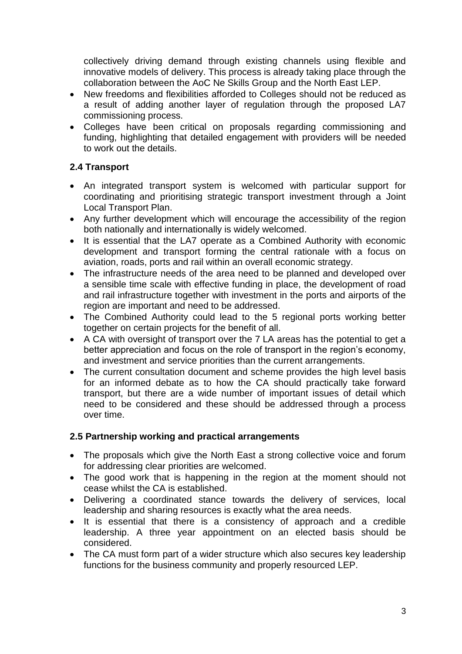collectively driving demand through existing channels using flexible and innovative models of delivery. This process is already taking place through the collaboration between the AoC Ne Skills Group and the North East LEP.

- New freedoms and flexibilities afforded to Colleges should not be reduced as a result of adding another layer of regulation through the proposed LA7 commissioning process.
- Colleges have been critical on proposals regarding commissioning and funding, highlighting that detailed engagement with providers will be needed to work out the details.

## **2.4 Transport**

- An integrated transport system is welcomed with particular support for coordinating and prioritising strategic transport investment through a Joint Local Transport Plan.
- Any further development which will encourage the accessibility of the region both nationally and internationally is widely welcomed.
- It is essential that the LA7 operate as a Combined Authority with economic development and transport forming the central rationale with a focus on aviation, roads, ports and rail within an overall economic strategy.
- The infrastructure needs of the area need to be planned and developed over a sensible time scale with effective funding in place, the development of road and rail infrastructure together with investment in the ports and airports of the region are important and need to be addressed.
- The Combined Authority could lead to the 5 regional ports working better together on certain projects for the benefit of all.
- A CA with oversight of transport over the 7 LA areas has the potential to get a better appreciation and focus on the role of transport in the region's economy, and investment and service priorities than the current arrangements.
- The current consultation document and scheme provides the high level basis for an informed debate as to how the CA should practically take forward transport, but there are a wide number of important issues of detail which need to be considered and these should be addressed through a process over time.

### **2.5 Partnership working and practical arrangements**

- The proposals which give the North East a strong collective voice and forum for addressing clear priorities are welcomed.
- The good work that is happening in the region at the moment should not cease whilst the CA is established.
- Delivering a coordinated stance towards the delivery of services, local leadership and sharing resources is exactly what the area needs.
- It is essential that there is a consistency of approach and a credible leadership. A three year appointment on an elected basis should be considered.
- The CA must form part of a wider structure which also secures key leadership functions for the business community and properly resourced LEP.